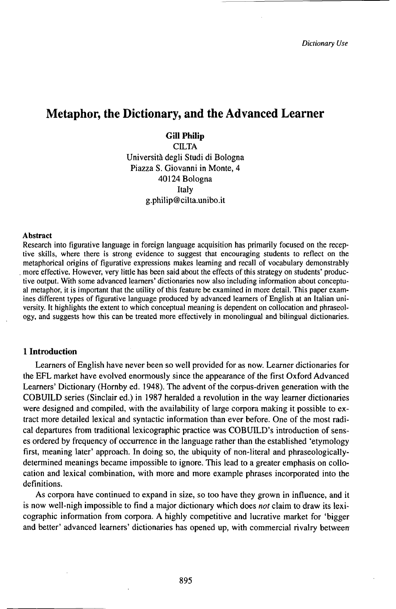# Metaphor, the Dictionary, and the Advanced Learner

**Gill Philip**<br>CILTA Università degli Studi di Bologna Piazza S. Giovanni in Monte, 4 40124 Bologna Italy g.philip@cilta.unibo.it

### Abstract

Research into figurative language in foreign language acquisition has primarily focused on the receptive skills, where there is strong evidence to suggest that encouraging students to reflect on the metaphorical origins of figurative expressions makes learning and recall of vocabulary demonstrably . more effective. However, very little has been said about the effects of this strategy on students' productive output. With some advanced learners' dictionaries now also including information about conceptual metaphor, it is important that the utility of this feature be examined in more detail. This paper examines different types of figurative language produced by advanced learners of English at an Italian university. It highlights the extent to which conceptual meaning is dependent on collocation and phraseology, and suggests how this can be treated more effectively in monolingual and bilingual dictionaries.

### **1 Introduction**

Learners of English have never been so well provided for as now. Learner dictionaries for the EFL market have evolved enormously since the appearance of the first Oxford Advanced Learners' Dictionary (Hornby ed. 1948). The advent of the corpus-driven generation with the COBUILD series (Sinclair ed.) in 1987 heralded a revolution in the way learner dictionaries were designed and compiled, with the availability of large corpora making it possible to extract more detailed lexical and syntactic information than ever before. One of the most radical departures from traditional lexicographic practice was COBUILD's introduction of senses ordered by frequency of occurrence in the language rather than the established 'etymology first, meaning later' approach. In doing so, the ubiquity of non-literal and phraseologicallydetermined meanings became impossible to ignore. This lead to a greater emphasis on collocation and lexical combination, with more and more example phrases incorporated into the definitions.

As corpora have continued to expand in size, so too have they grown in influence, and it is now well-nigh impossible to find a major dictionary which does *not* claim to draw its lexicographic information from corpora. A highly competitive and lucrative market for 'bigger and better' advanced learners' dictionaries has opened up, with commercial rivalry between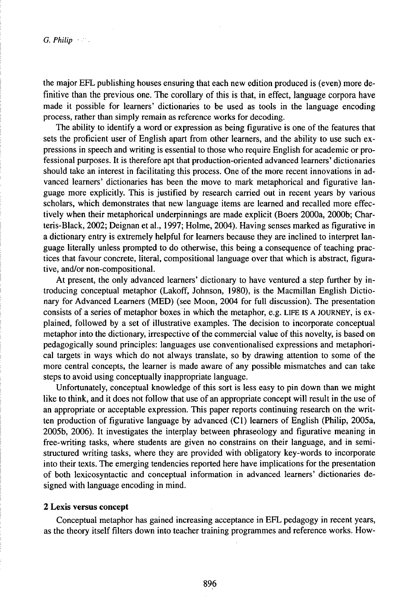the major EFL publishing houses ensuring that each new edition produced is (even) more definitive than the previous one. The corollary of this is that, in effect, language corpora have made it possible for learners' dictionaries to be used as tools in the language encoding process, rather than simply remain as reference works for decoding.

The ability to identify a word or expression as being figurative is one of the features that sets the proficient user of English apart from other learners, and the ability to use such expressions in speech and writing is essential to those who require English for academic or professional purposes. It is therefore apt that production-oriented advanced learners' dictionaries should take an interest in facilitating this process. One of the more recent innovations in advanced learners' dictionaries has been the move to mark metaphorical and figurative language more explicitly. This is justified by research carried out in recent years by various scholars, which demonstrates that new language items are learned and recalled more effectively when their metaphorical underpinnings are made explicit (Boers 2000a, 2000b; Charteris-Black, 2002; Deignan et al., 1997; Holme, 2004). Having senses marked as figurative in a dictionary entry is extremely helpful for learners because they are inclined to interpret language literally unless prompted to do otherwise, this being a consequence of teaching practices that favour concrete, literal, compositional language over that which is abstract, figurative, and/or non-compositional.

At present, the only advanced learners' dictionary to have ventured a step further by introducing conceptual metaphor (Lakoff, Johnson, 1980), is the Macmillan English Dictionary for Advanced Learners (MED) (see Moon, 2004 for full discussion). The presentation consists of a series of metaphor boxes in which the metaphor, e.g. LIFE IS A JOURNEY, is explained, followed by a set of illustrative examples. The decision to incorporate conceptual metaphor into the dictionary, irrespective of the commercial value of this novelty, is based on pedagogically sound principles: languages use conventionalised expressions and metaphorical targets in ways which do not always translate, so by drawing attention to some of the more central concepts, the learner is made aware of any possible mismatches and can take steps to avoid using conceptually inappropriate language.

Unfortunately, conceptual knowledge of this sort is less easy to pin down than we might like to think, and it does not follow that use of an appropriate concept will result in the use of an appropriate or acceptable expression. This paper reports continuing research on the written production of figurative language by advanced (C1) learners of English (Philip, 2005a, 2005b, 2006). It investigates the interplay between phraseology and figurative meaning in free-writing tasks, where students are given no constrains on their language, and in semistructured writing tasks, where they are provided with obligatory key-words to incorporate into their texts. The emerging tendencies reported here have implications for the presentation of both lexicosyntactic and conceptual information in advanced learners' dictionaries designed with language encoding in mind.

# **2 Lexis versus concept**

Conceptual metaphor has gained increasing acceptance in EFL pedagogy in recent years, as the theory itself filters down into teacher training programmes and reference works. How-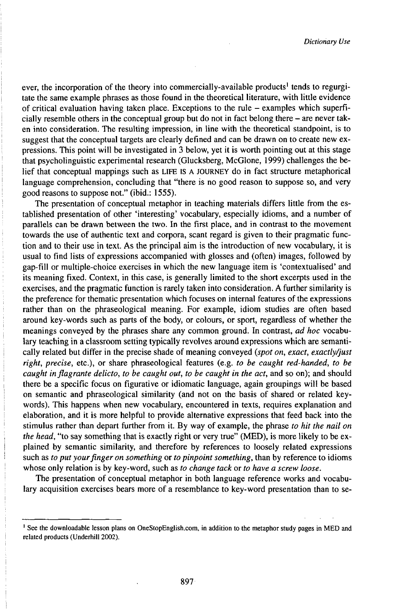ever, the incorporation of the theory into commercially-available products<sup>1</sup> tends to regurgitate the same example phrases as those found in the theoretical literature, with little evidence of critical evaluation having taken place. Exceptions to the rule - examples which superficially resemble others in the conceptual group but do not in fact belong there - are never taken into consideration. The resulting impression, in line with the theoretical standpoint, is to suggest that the conceptual targets are clearly defined and can be drawn on to create new expressions. This point will be investigated in 3 below, yet it is worth pointing out at this stage that psycholinguistic experimental research (Glucksberg, McGlone, 1999) challenges the belief that conceptual mappings such as LIFE IS A JOURNEY do in fact structure metaphorical language comprehension, concluding that "there is no good reason to suppose so, and very good reasons to suppose not." (ibid.: 1555).

The presentation of conceptual metaphor in teaching materials differs little from the established presentation of other 'interesting' vocabulary, especially idioms, and a number of parallels can be drawn between the two. In the first place, and in contrast to the movement towards the use of authentic text and corpora, scant regard is given to their pragmatic function and to their use in text. As the principal aim is the introduction of new vocabulary, it is usual to find lists of expressions accompanied with glosses and (often) images, followed by gap-fill or multiple-choice exercises in which the new language item is 'contextualised' and its meaning fixed. Context, in this case, is generally limited to the short excerpts used in the exercises, and the pragmatic function is rarely taken into consideration. A further similarity is the preference for thematic presentation which focuses on internal features of the expressions rather than on the phraseological meaning. For example, idiom studies are often based around key-words such as parts of the body, or colours, or sport, regardless of whether the meanings conveyed by the phrases share any common ground. In contrast, *ad hoc* vocabulary teaching in a classroom setting typically revolves around expressions which are semantically related but differ in the precise shade of meaning conveyed *(spot on, exact, exactly/just right, precise,* etc.), or share phraseological features (e.g. *to be caught red-handed, to be caught inflagrante delicto, to be caught out, to be caught in the act,* and so on); and should there be a specific focus on figurative or idiomatic language, again groupings will be based on semantic and phraseological similarity (and not on the basis of shared or related keywords). This happens when new vocabulary, encountered in texts, requires explanation and elaboration, and it is more helpful to provide alternative expressions that feed back into the stimulus rather than depart further from it. By way of example, the phrase *to hit the nail on the head,* "to say something that is exactly right or very true" (MED), is more likely to be explained by semantic similarity, and therefore by references to loosely related expressions such as *to put yourfinger on something* or *to pinpoint something,* than by reference to idioms whose only relation is by key-word, such as *to change tack* or *to have a screw loose.*

The presentation of conceptual metaphor in both language reference works and vocabulary acquisition exercises bears more of a resemblance to key-word presentation than to se-

<sup>1</sup> See the downloadable lesson plans on OneStopEnglish.com, in addition to the metaphor study pages in MED and related products (Underhill 2002).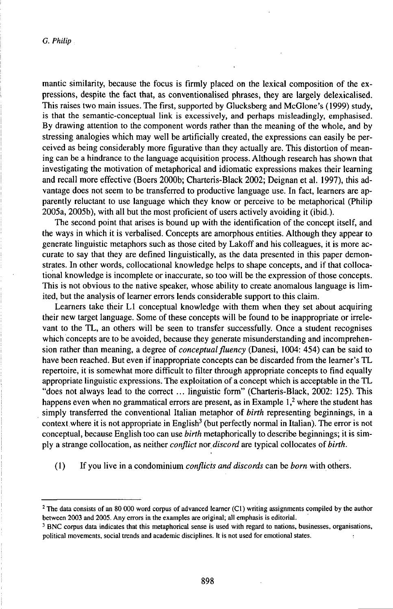mantic similarity, because the focus is firmly placed on the lexical composition of the expressions, despite the fact that, as conventionalised phrases, they are largely delexicalised. This raises two main issues. The first, supported by Glucksberg and McGlone's (1999) study, is that the semantic-conceptual link is excessively, and perhaps misleadingly, emphasised. By drawing attention to the component words rather than the meaning of the whole, and by stressing analogies which may well be artificially created, the expressions can easily be perceived as being considerably more figurative than they actually are. This distortion of meaning can be a hindrance to the language acquisition process. Although research has shown that investigating the motivation of metaphorical and idiomatic expressions makes their learning and recall more effective (Boers 2000b; Charteris-Black 2002; Deignan et al. 1997), this advantage does not seem to be transferred to productive language use. In fact, learners are apparently reluctant to use language which they know or perceive to be metaphorical (Philip 2005a, 2005b), with all but the most proficient of users actively avoiding it (ibid.).

The second point that arises is bound up with the identification of the concept itself, and the ways in which it is verbalised. Concepts are amorphous entities. Although they appear to generate linguistic metaphors such as those cited by Lakoff and his colleagues, it is more accurate to say that they are defined linguistically, as the data presented in this paper demonstrates. In other words, collocational knowledge helps to shape concepts, and if that collocational knowledge is incomplete or inaccurate, so too will be the expression of those concepts. This is not obvious to the native speaker, whose ability to create anomalous language is limited, but the analysis of learner errors lends considerable support to this claim.

Learners take their L1 conceptual knowledge with them when they set about acquiring their new target language. Some of these concepts will be found to be inappropriate or irrelevant to the TL, an others will be seen to transfer successfully. Once a student recognises which concepts are to be avoided, because they generate misunderstanding and incomprehension rather than meaning, a degree of *conceptualfluency* (Danesi, 1004: 454) can be said to have been reached. But even if inappropriate concepts can be discarded from the learner's TL repertoire, it is somewhat more difficult to filter through appropriate concepts to find equally appropriate linguistic expressions. The exploitation of a concept which is acceptable in the TL "does not always lead to the correct ... linguistic form" (Charteris-Black, 2002: 125). This happens even when no grammatical errors are present, as in Example  $1<sup>2</sup>$  where the student has simply transferred the conventional Italian metaphor of *birth* representing beginnings, in a context where it is not appropriate in English<sup>3</sup> (but perfectly normal in Italian). The error is not conceptual, because English too can use *birth* metaphorically to describe beginnings; it is simply a strange collocation, as neither *conflict not,discord* are typical collocates *ofbirth.*

(1) If you live in a condominium *conflicts and discords* can be *born* withothers.

<sup>&</sup>lt;sup>2</sup> The data consists of an 80 000 word corpus of advanced learner (C1) writing assignments compiled by the author between 2003 and 2005. Anyerrors in the examples are original; all emphasis is editorial.

<sup>&</sup>lt;sup>3</sup> BNC corpus data indicates that this metaphorical sense is used with regard to nations, businesses, organisations, political movements, social trends and academic disciplines. It is not used for emotional states.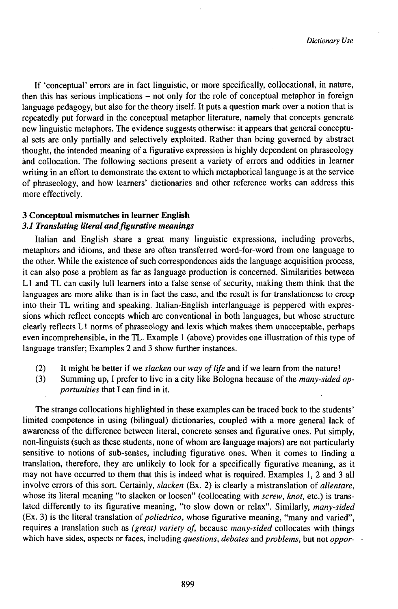If 'conceptual' errors are in fact linguistic, or more specifically, collocational, in nature, then this has serious implications - not only for the role of conceptual metaphor in foreign language pedagogy, but also for the theory itself. It puts a question mark over a notion that is repeatedly put forward in the conceptual metaphor literature, namely that concepts generate new linguistic metaphors. The evidence suggests otherwise: it appears that general conceptual sets are only partially and selectively exploited. Rather than being governed by abstract thought, the intended meaning of a figurative expression is highly dependent on phraseology ànd collocation. The following sections present a variety of errors and oddities in learner writing in an effort to demonstrate the extent to which metaphorical language is at the service of phraseology, and how learners' dictionaries and other reference works can address this more effectively.

# **3 Conceptual mismatches in learner English**

# *3.1 TransUUing literal andfigurative meanings*

Italian and English share a great many linguistic expressions, including proverbs, metaphors and idioms, and these are often transferred word-for-word from one language to the other. While the existence of such correspondences aids the language acquisition process, it can also pose a problem as far as language production is concerned. Similarities between L1 and TL can easily lull learners into a false sense of security, making them think that the languages are more alike than is in fact the case, and the result is for translationese to creep into their TL writing and speaking. Italian-English interlanguage is peppered with expressions which reflect concepts which are conventional in both languages, but whose structure clearly reflects L1 norms of phraseology and lexis which makes them unacceptable, perhaps even incomprehensible, in the TL. Example <sup>1</sup> (above) provides one illustration of this type of language transfer; Examples 2 and 3 show further instances.

- (2) It might be better if we *slacken* our *way oflife* and if we learn from the nature!
- (3) Summing up, I prefer to live in a city like Bologna because of the *many-sided opportunities* that I can find in it.

The strange collocations highlighted in these examples can be traced back to the students' limited competence in using (bilingual) dictionaries, coupled with a more general lack of awareness of the difference between literal, concrete senses and figurative ones. Put simply, non-linguists (such as these students, none ofwhom are language majors) are not particularly sensitive to notions of sub-senses, including figurative ones. When it comes to finding a translation, therefore, they are unlikely to look for a specifically figurative meaning, as it may not have occurred to them that this is indeed what is required. Examples 1, 2 and 3 all involve errors of this sort. Certainly, *slacken* (Ex. 2) is clearly a mistranslation of *allentare,* whose its literal meaning "to slacken or loosen" (collocating with *screw, knot,* etc.) is translated differently to its figurative meaning, "to slow down or relax". Similarly, *many-sided* (Ex. 3) is the literal translation of *poliedrico*, whose figurative meaning, "many and varied", requires a translation such as *(great) variety of,* because *many-sided* collocates with things which have sides, aspects or faces, including *questions*, *debates* and *problems*, but not *oppor*-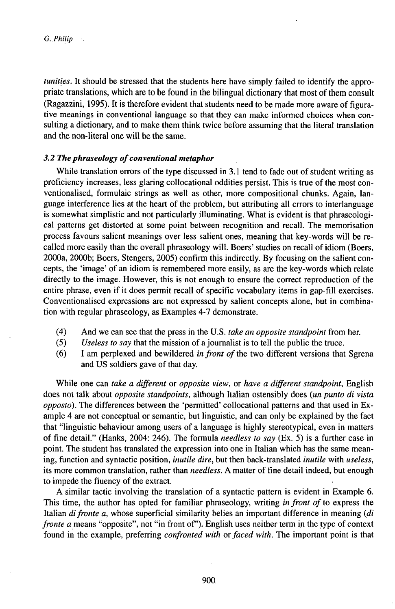*tunities.* It should be stressed that the students here have simply failed to identify the appropriate translations, which are to be found in the bilingual dictionary that most ofthem consult (Ragazzini, 1995). It is therefore evident that students need to be made more aware of figurative meanings in conventional language so that they can make informed choices when consulting a dictionary, and to make them think twice before assuming that the literal translation and the non-literal one will be the same.

# 3.2 The phraseology of conventional metaphor

While translation errors of the type discussed in 3.1 tend to fade out of student writing as proficiency increases, less glaring collocational oddities persist. This is true of the most conventionalised, formulaic strings as well as other, more compositional chunks. Again, language interference lies at the heart of the problem, but attributing all errors to interlanguage is somewhat simplistic and not particularly illuminating. What is evident is that phraseological patterns get distorted at some point between recognition and recall. The memorisation process favours salient meanings over less salient ones, meaning that key-words will be recalled more easily than the overall phraseology will. Boers' studies on recall of idiom (Boers, 2000a, 2000b; Boers, Stengers, 2005) confirm this indirectly. By focusing on the salient concepts, the 'image' of an idiom is remembered more easily, as are the key-words which relate directly to the image. However, this is not enough to ensure the correct reproduction of the entire phrase, even if it does permit recall of specific vocabulary items in gap-fill exercises. Conventionalised expressions are not expressed by salient concepts alone, but in combination with regular phraseology, as Examples 4-7 demonstrate.

- (4) And we can see that the press in the U.S. *take an opposite standpoint* from her.
- (5) *Useless to say* that the mission ofajournalist is to tell the public the truce.
- (6) I am perplexed and bewildered *in front of*the two different versions that Sgrena and US soldiers gave of that day.

While one can *take a different* or *opposite view,* or *have a different standpoint,* English does not talk about *opposite standpoints,* although Italian ostensibly does *{un punto di vista opposto).* The differences between the 'permitted' collocational patterns and that used in Example 4 are not conceptual or semantic, but linguistic, and can only be explained by the fact that "linguistic behaviour among users of a language is highly stereotypical, even in matters of fine detail." (Hanks, 2004: 246). The formula *needless to say* (Ex. 5) is a further case in point. The student has translated the expression into one in Italian which has the same meaning, function and syntactic position, *inutile dire,* but then back-translated *inutile* with *useless,* its more common translation, rather than *needless.* A matter of fine detail indeed, but enough to impede the fluency of the extract.

A similar tactic involving the translation of a syntactic pattern is evident in Example 6. This time, the author has opted for familiar phraseology, writing *in front of*to express the Italian *difronte a,* whose superficial similarity belies an important difference in meaning *(di fronte a* means "opposite", not "in front of'). English uses neither term in the type of context found in the example, preferring *confronted with orfaced with.* The important point is that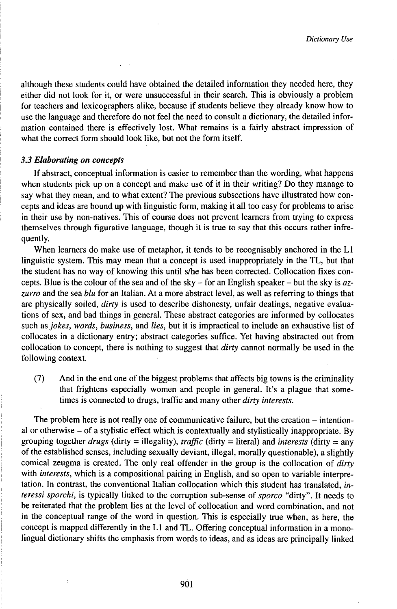although these students could have obtained the detailed information they needed here, they either did not look for it, or were unsuccessful in their search. This is obviously a problem for teachers and lexicographers alike, because if students believe they already know how to use the language and therefore do not feel the need to consult a dictionary, the detailed information contained there is effectively lost. What remains is a fairly abstract impression of what the correct form should look like, but not the form itself.

# *3.3 Elaborating on concepts*

If abstract, conceptual information is easier to remember than the wording, what happens when students pick up on a concept and make use of it in their writing? Do they manage to say what they mean, and to what extent? The previous subsections have illustrated how concepts and ideas are bound up with linguistic form, making it all too easy for problems to arise in their use by non-natives. This of course does not prevent learners from trying to express themselves through figurative language, though it is true to say that this occurs rather infrequently.

When learners do make use of metaphor, it tends to be recognisably anchored in the L1 linguistic system. This may mean that a concept is used inappropriately in the TL, but that the student has no way of knowing this until s/he has been corrected. Collocation fixes concepts. Blue is the colour of the sea and of the sky -for an English speaker - but the sky is *azzurro* and the sea *blu* for an Italian. At a more abstract level, as well as referring to things that are physically soiled, *dirty* is used to describe dishonesty, unfair dealings, negative evaluations of sex, and bad things in general. These abstract categories are informed by colloçates such as *jokes, words, business,* and *lies,* but it is impractical to include an exhaustive list of collocates in a dictionary entry; abstract categories suffice. Yet having abstracted out from collocation to concept, there is nothing to suggest that *dirty* cannot normally be used in the following context.

(7) And in the end one of the biggest problems that affects big towns is the criminality that frightens especially women and people in general. It's a plague that sometimes is connected to drugs, traffic and many other *dirty interests.*

The problem here is not really one of communicative failure, but the creation - intentional or otherwise - of <sup>a</sup> stylistic effect which is contextually and stylistically inappropriate. By grouping together *drugs* (dirty = illegality), *traffic* (dirty = literal) and *interests* (dirty = any of the established senses, including sexually deviant, illegal, morally questionable), a slightly comical zeugma is created. The only real offender in the group is the collocation of *dirty* with *interests,* which is a compositional pairing in English, and so open to variable interpretation. In contrast, the conventional Italian collocation which this student has translated, *interessi sporchi,* is typically linked to the corruption sub-sense of *sporco* "dirty". It needs to be reiterated that the problem lies at the level of collocation and word combination, and not in the conceptual range of the word in question. This is especially true when, as here, the concept is mapped differently in the L1 and TL. Offering conceptual information in a monolingual dictionary shifts the emphasis from words to ideas, and as ideas are principally linked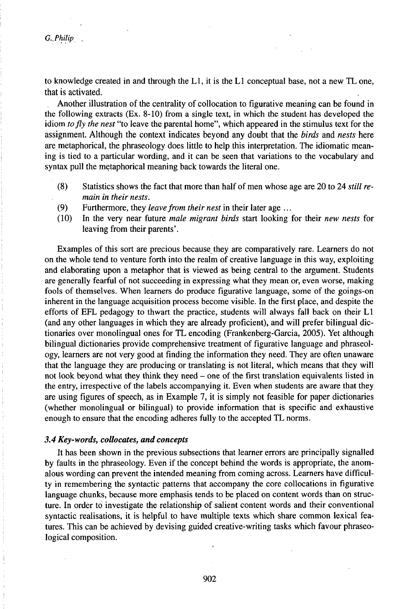*G.,Philip*

to knowledge created in and through the L1, it is the L1 conceptual base, not a new TL one, that is activated.

Another illustration of the centrality of collocation to figurative meaning can be found in the following extracts (Ex. 8-10) from a single text, in which the student has developed the idiom *tofly the nest* "to leave the parental home", which appeared in the stimulus text for the assignment. Although the context indicates beyond any doubt that the *birds* and *nests* here are metaphorical, the phraseology does little to help this interpretation. The idiomatic meaning is tied to a particular wording, and it can be seen that variations to the vocabulary and syntax pull the metaphorical meaning back towards the literal one.

- (8) Statistics shows the fact that more than half of men whose age are 20 to 24 *still remain in their nests.*
- (9) Furthermore, they *leavefrom their nest* in their later age ...
- (10) In the very near future *male migrant birds* start looking for their *new nests* for leaving from their parents'.

Examples of this sort are precious because they are comparatively rare. Learners do not on the whole tend to venture forth into the realm of creative language in this way, exploiting and elaborating upon a metaphor that is viewed as being central to the argument. Students are generally fearful of not succeeding in expressing what they mean or, even worse, making fools of themselves. When learners do produce figurative language, some of the goings-on inherent in the language acquisition process become visible. In the first place, and despite the efforts of EFL pedagogy to thwart the practice, students will always fall back on their L1 (and any other languages in which they are already proficient), and will prefer bilingual dictionaries over monolingual ones for TL encoding (Frankenberg-Garcia, 2005). Yet although bilingual dictionaries provide comprehensive treatment of figurative language and phraseology, learners are not very good at finding the information they need. They are often unaware that the language they are producing or translating is not literal, which means that they will not look beyond what they think they need – one of the first translation equivalents listed in the entry, irrespective of the labels accompanying it. Even when students are aware that they are using figures of speech, as in Example 7, it is simply not feasible for paper dictionaries (whether monolingual or bilingual) to provide information that is specific and exhaustive enough to ensure that the encoding adheres fully to the accepted TL norms.

# *3.4 Key-words, collocates, and concepts*

It has been shown in the previous subsections that learner errors are principally signalled by faults in the phraseology. Even if the concept behind the words is appropriate, the anomalous wording can prevent the intended meaning from coming across. Learners have difficulty in remembering the syntactic patterns that accompany the core collocations in figurative language chunks, because more emphasis tends to be placed on content words than on structure. In order to investigate the relationship of salient content words and their conventional syntactic realisations, it is helpful to have multiple texts which share common lexical features. This can be achieved by devising guided creative-writing tasks which favour phraseological composition.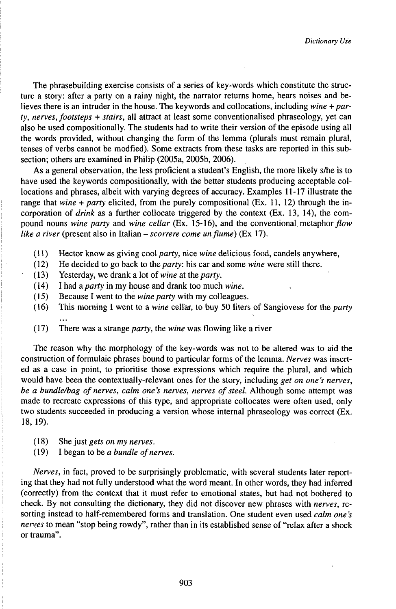The phrasebuilding exercise consists of a series of key-words which constitute the structure a story: after a party on a rainy night, the narrator returns home, hears noises and believes there is an intruder in the house. The keywords and collocations, including *wine + party, nerves, footsteps* + *stairs,* all attract at least some conventionalised phraseology, yet can also be used compositionally. The students had to write their version of the episode using all the words provided, without changing the form of the lemma (plurals must remain plural, tenses of verbs cannot be modfied). Some extracts from these tasks are reported in this subsection; others are examined in Philip (2005a, 2005b, 2006).

As a general observation, the less proficient a student's English, the more likely s/he is to have used the keywords compositionally, with the better students producing acceptable collocations and phrases, albeit with varying degrees of accuracy. Examples 11-17 illustrate the range that *wine + party* elicited, from the purely compositional (Ex. 11, 12) through the incorporation of *drink* as a further collocate triggered by the context  $(Ex, 13, 14)$ , the compound nouns *wine party* and *wine cellar* (Ex. 15-16), and the conventional metaphor flow *like <sup>a</sup> river* (present also in Italian -*scorrere come unfiume)* (Ex 17).

- (11) Hector know as giving cool *party,* nice *wine* delicious food, candels anywhere,
- (12) He decided to go back to *theparty:* his car and some *wine* were still there.
- (13) Yesterday, we drank a lot of *wine* at the *party.*
- (14) I had a *party* in my house and drank too much *wine.*
- Because I went to the *wine party* with my colleagues.
- (16) This morning I went to a *wine* cellar, to buy 50 liters of Sangiovese for the *party*
- (17) There was a strange *party,* the *wine* was flowing like a river

The reason why the morphology of the key-words was not to be altered was to aid the construction of formulaic phrases bound to particular forms of the lemma. *Nerves* was inserted as a case in point, to prioritise those expressions which require the plural, and which would have been the contextually-relevant ones for the story, including *get on one's nerves, be a bundleA)ag ofnerves, calm one's nerves, nerves ofsteel.* Although some attempt was made to recreate expressions of this type, and appropriate collocates were often used, only two students succeeded in producing a version whose internal phraseology was correct (Ex. 18, 19).

- ( 18) She just *gets on my nerves.*
- (19) I began to be *a bundle ofnerves.*

*Nerves,* in fact, proved to be surprisingly problematic, with several students later reporting that they had not fully understood what the word meant. In other words, they had inferred (correctly) from the context that it must refer to emotional states, but had not bothered to check. By not consulting the dictionary, they did not discover new phrases with *nerves,* resorting instead to half-remembered forms and translation. One student even used *calm one 's nerves* to mean "stop being rowdy", rather than in its established sense of "relax after a shock or trauma".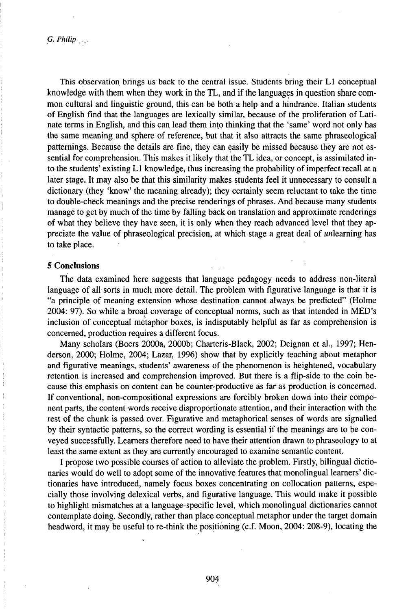*G, Philip*

This observation brings us back to the central issue. Students bring their L1 conceptual knowledge with them when they work in the TL, and if the languages in question share common cultural and linguistic ground, this can be both a help and a hindrance. Italian students of English find that the languages are lexically similar, because of the proliferation of Latinate terms in English, and this can lead them into thinking that the 'same' word not only has the same meaning and sphere of reference, but that it also attracts the same phraseological patternings. Because the details are fine, they can easily be missed because they are not essential for comprehension. This makes it likely that the TL idea, or concept, is assimilated into the students' existing L1 knowledge, thus increasing the probability of imperfect recall at a later stage. It may also be that this similarity makes students feel it unnecessary to consult a dictionary (they 'know' the meaning already); they certainly seem reluctant to take the time to double-check meanings and the precise renderings of phrases. And because many students manage to get by much of the time by falling back on translation and approximate renderings of what they believe they have seen, it is only when they reach advanced level that they appreciate the value of phraseological precision, at which stage a great deal of unlearning has to take place.

# **5 Conclusions**

The data examined here suggests that language pedagogy needs to address non-literal language of all sorts in much more detail. The problem with figurative language is that it is "a principle of meaning extension whose destination cannot always be predicted" (Holme 2004: 97). So while a broad coverage of conceptual norms, such as that intended in MED's inclusion of conceptual metaphor boxes, is indisputably helpful as far as comprehension is concerned, production requires a different focus.

Many scholars (Boers 2000a, 2000b; Charteris-Black, 2002; Deignan et al., 1997; Henderson, 2000; Holme, 2004; Lazar, 1996) show that by explicitly teaching about metaphor and figurative meanings, students' awareness of the phenomenon is heightened, vocabulary retention is increased and comprehension improved. But there is a flip-side to the coin because this emphasis on content can be counter-productive as far as production is concerned. If conventional, non-compositional expressions are forcibly broken down into their component parts, the content words receive disproportionate attention, and their interaction with the rest of the chunk is passed over. Figurative and metaphorical senses of words are signalled by their syntactic patterns, so the correct wording is essential if the meanings are to be conveyed successfully. Learners therefore need to have their attention drawn to phraseology to at least the same extent as they are currently encouraged to examine semantic content.

I propose two possible courses of action to alleviate the problem. Firstly, bilingual dictionaries would do well to adopt some of the innovative features that monolingual learners' dictionaries have introduced, namely focus boxes concentrating on collocation patterns, especially those involving delexical verbs, and figurative language. This would make it possible to highlight mismatches at a language-specific level, which monolingual dictionaries cannot contemplate doing. Secondly, rather than place conceptual metaphor under the target domain headword, it may be useful to re-think the positioning (c.f. Moon, 2004: 208-9), locating the